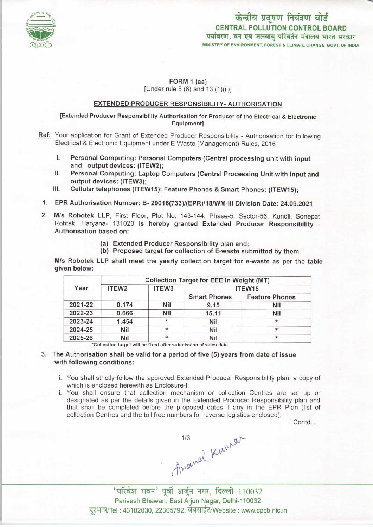

# केन्द्रीय प्रदूषण नियंत्रण बोर्ड CENTRAL POLLUTION CONTROL BOARD<br>पर्यावरण, वन एवं जलवायु परिवर्तन मंत्रालय भारत सरकार MINISTRY OF ENVIRONMENT, FOREST & CLIMATE CHANGE GOVT. OF INDIA

#### FORM 1 (aa) [Under rule 5 (6) and 13 (1)(ii)]

#### EXTENDED PRODUCER RESPONSIBILITY-AUTHORISATION

#### [Extended Producer Responsibility Authorisation for Producer of the Electrical & Electronic Equipment]

- Ref: Your application for Grant of Extended Producer Responsibility Authorisation for following Electrical & Electronic Equipment under E-Waste (Management) Rules, 2016
	- Electrical & Electronic Equipment under E-Waste (Management) Rules, 2016<br>I. Personal Computing: Personal Computers (Central processing unit with input<br>and output devices: (ITEW2) and output devices: (ITEW2);<br>Personal Computing: Laptop Computers (Central Processing Unit with input and I. Personal Computing: Personal Computers (Central processing unit with input<br>and output devices: (ITEW2);<br>II. Personal Computing: Laptop Computers (Central Processing Unit with input and<br>output devices: (ITEW3);
	- output devices: (ITEW3); II. Personal Computing: Laptop Computers (Central Processing Unit with inp<br>output devices: (ITEW3);<br>III. Cellular telephones (ITEW15): Feature Phones & Smart Phones: (ITEW15);
	-
	- 1.EPR Authorisation Number: B- 29016(733)/(EPR)/18/WM-lll Division Date: 24.09.2021
- 2.M/s Robotek LLP, First Floor, Plot No. 143-144, Phase-5, Sector-56, Kundli, Sonepat Rohtak, Haryana- 131028 is hereby granted Extended Producer Responsibility - Authorisation based on:
	- (a)Extended Producer Responsibility plan and;
	- (b) Proposed target for collection of E-waste submitted by them.

M/s Robotek LLP shall meet the yearly collection target for e-waste as per the table given below:

| Year    | <b>Collection Target for EEE in Weight (MT)</b> |        |                     |                       |
|---------|-------------------------------------------------|--------|---------------------|-----------------------|
|         | ITEW <sub>2</sub>                               | ITEW3  | ITEW <sub>15</sub>  |                       |
|         |                                                 |        | <b>Smart Phones</b> | <b>Feature Phones</b> |
| 2021-22 | 0.174                                           | Nil    | 9.15                | Nil                   |
| 2022-23 | 0.666                                           | Nil    | 15.11               | Nil                   |
| 2023-24 | 1.454                                           | *      | Nil                 | *                     |
| 2024-25 | Nil                                             | $\ast$ | Nil                 | *                     |
| 2025-26 | Nil                                             |        | Nil                 | *                     |

target will be fixed after submission of sales data.

- 3. The Authorisation shall be valid for a period of five (5) years from date of issue with following conditions:
	- i. You shall strictly follow the approved Extended Producer Responsibility plan, a copy of which is enclosed herewith as Enclosure-I;
	- ii. You shall ensure that collection mechanism or collection Centres are set up or designated as per the details given in the Extended Producer Responsibility plan and that shall be completed before the proposed dates if any in the EPR Plan (list of collection Centres and the toll free numbers for reverse logistics enclosed);

Contd...

 $A$ newel Kuwar<br>'परिवेश भवन' पूर्वी अर्जुन नगर, दिल्ली-110032

Parivesh Bhawan, EastArjun Nagar, Delhi-110032 दूरभाष/Tel : 43102030, 22305792, वेबसाईट/Website : www.cpcb.nic.in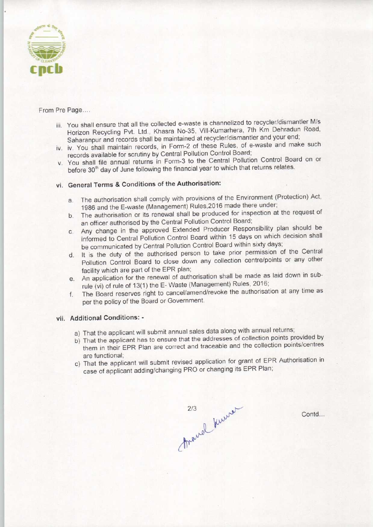

From Pre Page....

- iii. You shall ensure that all the collected e-waste is channelized to recycler/dismantler M/s Horizon Recycling Pvt. Ltd., Khasra No-35, Vill-Kumarhera, 7th Km Dehradun Road, Saharanpur and records shall be maintained at recycler/dismantler and your end;
- iv. iv. You shall maintain records, in Form-2 of these Rules, of e-waste and make such records available for scrutiny by Central Pollution Control Board;
- v. You shall file annual returns in Form-3 to the Central Pollution Control Board on or before 30<sup>th</sup> day of June following the financial year to which that returns relates.

## vi. General Terms & Conditions of the Authorisation:

- a.The authorisation shall comply with provisions of the Environment (Protection) Act, 1986 and the E-waste (Management) Rules.2016 made there under;
- b. The authorisation or its renewal shall be produced for inspection at the request of an officer authorised by the Central Pollution Control Board;
- c.Any change in the approved Extended Producer Responsibility plan should be informed to Central Pollution Control Board within 15 days on which decision shall be communicated by Central Pollution Control Board within sixty days;
- d.It is the duty of the authorised person to take prior permission of the Central Pollution Control Board to close down any collection centre/points or any other facility which are part of the EPR plan;
- e.An application for the renewal of authorisation shall be made aslaid down in subrule (vi) of rule of 13(1) the E-Waste (Management) Rules, 2016;
- f. The Board reserves right to cancel/amend/revoke the authorisation at any time as per the policy of the Board or Government.

### vii. Additional Conditions: -

- a) That the applicant will submit annual sales data along with annual returns;
- b) That the applicant has to ensure that the addresses of collection points provided by them in their EPR Plan are correct and traceable and the collection points/centres are functional;
- c) That the applicant will submit revised application for grant of EPR Authorisation in case of applicant adding/changing PRO or changing its EPR Plan;

thought knows

Contd...